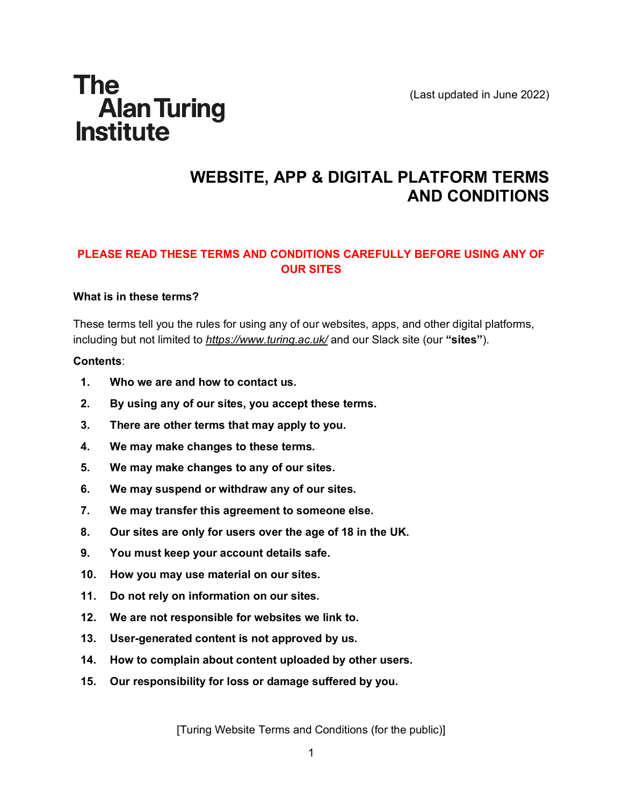(Last updated in June 2022)

# **The** Alan Turing<br>Institute

# **WEBSITE, APP & DIGITAL PLATFORM TERMS AND CONDITIONS**

# **PLEASE READ THESE TERMS AND CONDITIONS CAREFULLY BEFORE USING ANY OF OUR SITES**

#### **What is in these terms?**

These terms tell you the rules for using any of our websites, apps, and other digital platforms, including but not limited to *<https://www.turing.ac.uk/>* and our Slack site (our **"sites"**).

#### **Contents**:

- **1. Who we are and how to contact us.**
- **2. By using any of our sites, you accept these terms.**
- **3. There are other terms that may apply to you.**
- **4. We may make changes to these terms.**
- **5. We may make changes to any of our sites.**
- **6. We may suspend or withdraw any of our sites.**
- **7. We may transfer this agreement to someone else.**
- **8. Our sites are only for users over the age of 18 in the UK.**
- **9. You must keep your account details safe.**
- **10. How you may use material on our sites.**
- **11. Do not rely on information on our sites.**
- **12. We are not responsible for websites we link to.**
- **13. User-generated content is not approved by us.**
- **14. How to complain about content uploaded by other users.**
- **15. Our responsibility for loss or damage suffered by you.**

[Turing Website Terms and Conditions (for the public)]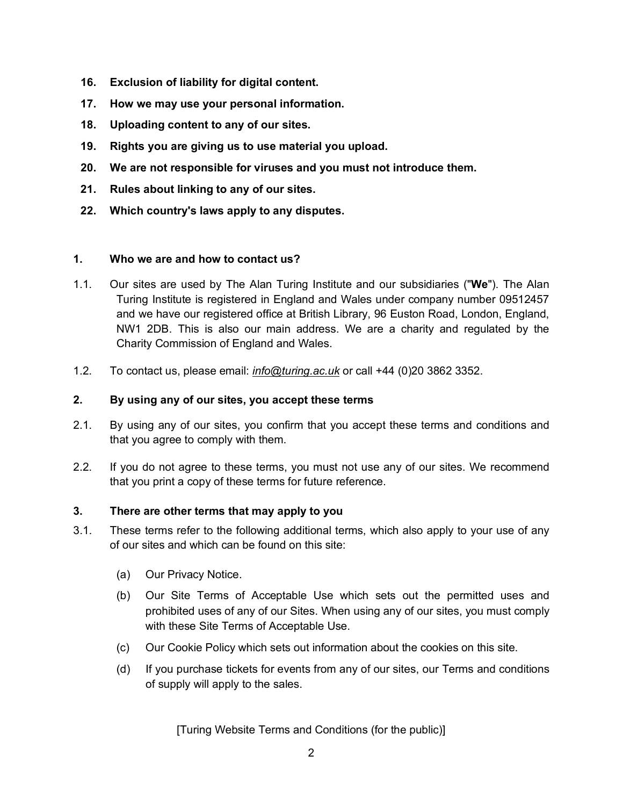- **16. Exclusion of liability for digital content.**
- **17. How we may use your personal information.**
- **18. Uploading content to any of our sites.**
- **19. Rights you are giving us to use material you upload.**
- **20. We are not responsible for viruses and you must not introduce them.**
- **21. Rules about linking to any of our sites.**
- **22. Which country's laws apply to any disputes.**

#### **1. Who we are and how to contact us?**

- 1.1. Our sites are used by The Alan Turing Institute and our subsidiaries ("**We**"). The Alan Turing Institute is registered in England and Wales under company number 09512457 and we have our registered office at British Library, 96 Euston Road, London, England, NW1 2DB. This is also our main address. We are a charity and regulated by the Charity Commission of England and Wales.
- 1.2. To contact us, please email: *[info@turing.ac.uk](mailto:info@turing.ac.uk)* or call +44 (0)20 3862 3352.

#### **2. By using any of our sites, you accept these terms**

- 2.1. By using any of our sites, you confirm that you accept these terms and conditions and that you agree to comply with them.
- 2.2. If you do not agree to these terms, you must not use any of our sites. We recommend that you print a copy of these terms for future reference.

#### **3. There are other terms that may apply to you**

- 3.1. These terms refer to the following additional terms, which also apply to your use of any of our sites and which can be found on this site:
	- (a) Our Privacy Notice.
	- (b) Our Site Terms of Acceptable Use which sets out the permitted uses and prohibited uses of any of our Sites. When using any of our sites, you must comply with these Site Terms of Acceptable Use.
	- (c) Our Cookie Policy which sets out information about the cookies on this site.
	- (d) If you purchase tickets for events from any of our sites, our Terms and conditions of supply will apply to the sales.

[Turing Website Terms and Conditions (for the public)]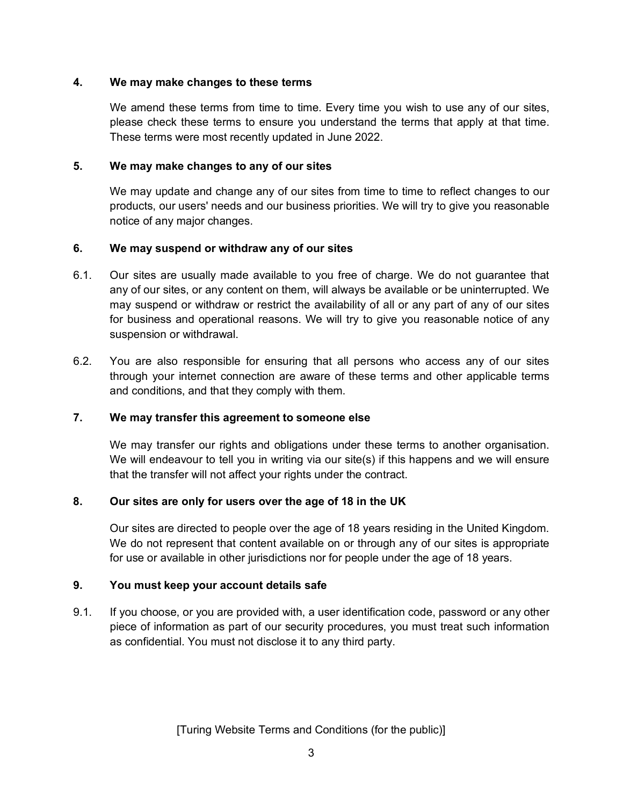#### **4. We may make changes to these terms**

We amend these terms from time to time. Every time you wish to use any of our sites, please check these terms to ensure you understand the terms that apply at that time. These terms were most recently updated in June 2022.

#### **5. We may make changes to any of our sites**

We may update and change any of our sites from time to time to reflect changes to our products, our users' needs and our business priorities. We will try to give you reasonable notice of any major changes.

# **6. We may suspend or withdraw any of our sites**

- 6.1. Our sites are usually made available to you free of charge. We do not guarantee that any of our sites, or any content on them, will always be available or be uninterrupted. We may suspend or withdraw or restrict the availability of all or any part of any of our sites for business and operational reasons. We will try to give you reasonable notice of any suspension or withdrawal.
- 6.2. You are also responsible for ensuring that all persons who access any of our sites through your internet connection are aware of these terms and other applicable terms and conditions, and that they comply with them.

# **7. We may transfer this agreement to someone else**

We may transfer our rights and obligations under these terms to another organisation. We will endeavour to tell you in writing via our site(s) if this happens and we will ensure that the transfer will not affect your rights under the contract.

# **8. Our sites are only for users over the age of 18 in the UK**

Our sites are directed to people over the age of 18 years residing in the United Kingdom. We do not represent that content available on or through any of our sites is appropriate for use or available in other jurisdictions nor for people under the age of 18 years.

# **9. You must keep your account details safe**

9.1. If you choose, or you are provided with, a user identification code, password or any other piece of information as part of our security procedures, you must treat such information as confidential. You must not disclose it to any third party.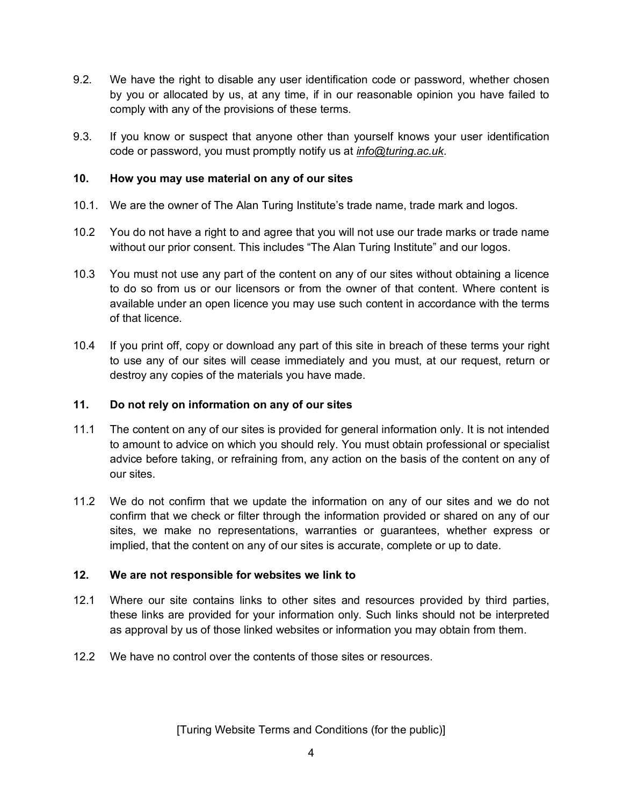- 9.2. We have the right to disable any user identification code or password, whether chosen by you or allocated by us, at any time, if in our reasonable opinion you have failed to comply with any of the provisions of these terms.
- 9.3. If you know or suspect that anyone other than yourself knows your user identification code or password, you must promptly notify us at *[info@turing.ac.uk](mailto:info@turing.ac.uk)*.

# **10. How you may use material on any of our sites**

- 10.1. We are the owner of The Alan Turing Institute's trade name, trade mark and logos.
- 10.2 You do not have a right to and agree that you will not use our trade marks or trade name without our prior consent. This includes "The Alan Turing Institute" and our logos.
- 10.3 You must not use any part of the content on any of our sites without obtaining a licence to do so from us or our licensors or from the owner of that content. Where content is available under an open licence you may use such content in accordance with the terms of that licence.
- 10.4 If you print off, copy or download any part of this site in breach of these terms your right to use any of our sites will cease immediately and you must, at our request, return or destroy any copies of the materials you have made.

# **11. Do not rely on information on any of our sites**

- 11.1 The content on any of our sites is provided for general information only. It is not intended to amount to advice on which you should rely. You must obtain professional or specialist advice before taking, or refraining from, any action on the basis of the content on any of our sites.
- 11.2 We do not confirm that we update the information on any of our sites and we do not confirm that we check or filter through the information provided or shared on any of our sites, we make no representations, warranties or guarantees, whether express or implied, that the content on any of our sites is accurate, complete or up to date.

# **12. We are not responsible for websites we link to**

- 12.1 Where our site contains links to other sites and resources provided by third parties, these links are provided for your information only. Such links should not be interpreted as approval by us of those linked websites or information you may obtain from them.
- 12.2 We have no control over the contents of those sites or resources.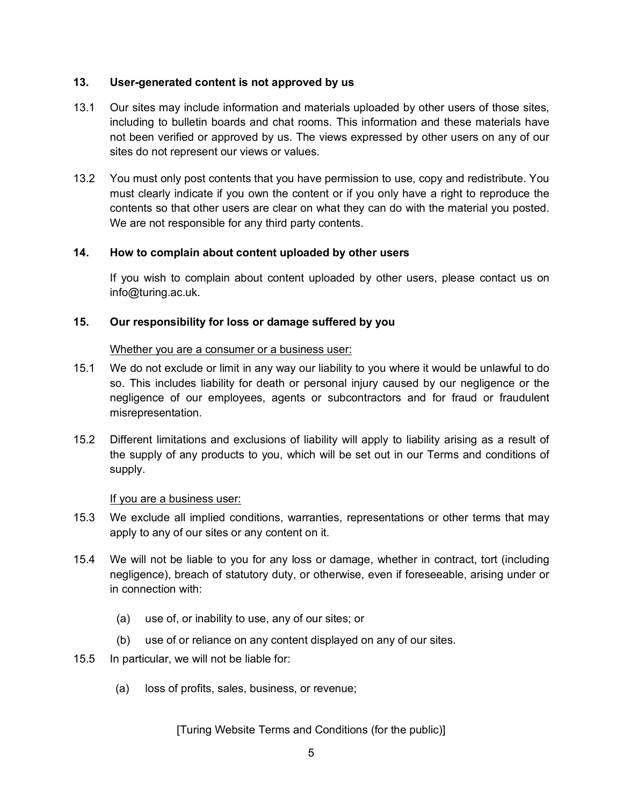#### **13. User-generated content is not approved by us**

- 13.1 Our sites may include information and materials uploaded by other users of those sites, including to bulletin boards and chat rooms. This information and these materials have not been verified or approved by us. The views expressed by other users on any of our sites do not represent our views or values.
- 13.2 You must only post contents that you have permission to use, copy and redistribute. You must clearly indicate if you own the content or if you only have a right to reproduce the contents so that other users are clear on what they can do with the material you posted. We are not responsible for any third party contents.

#### **14. How to complain about content uploaded by other users**

If you wish to complain about content uploaded by other users, please contact us on info@turing.ac.uk.

#### **15. Our responsibility for loss or damage suffered by you**

#### Whether you are a consumer or a business user:

- 15.1 We do not exclude or limit in any way our liability to you where it would be unlawful to do so. This includes liability for death or personal injury caused by our negligence or the negligence of our employees, agents or subcontractors and for fraud or fraudulent misrepresentation.
- 15.2 Different limitations and exclusions of liability will apply to liability arising as a result of the supply of any products to you, which will be set out in our Terms and conditions of supply.

#### If you are a business user:

- 15.3 We exclude all implied conditions, warranties, representations or other terms that may apply to any of our sites or any content on it.
- 15.4 We will not be liable to you for any loss or damage, whether in contract, tort (including negligence), breach of statutory duty, or otherwise, even if foreseeable, arising under or in connection with:
	- (a) use of, or inability to use, any of our sites; or
	- (b) use of or reliance on any content displayed on any of our sites.
- 15.5 In particular, we will not be liable for:
	- (a) loss of profits, sales, business, or revenue;

#### [Turing Website Terms and Conditions (for the public)]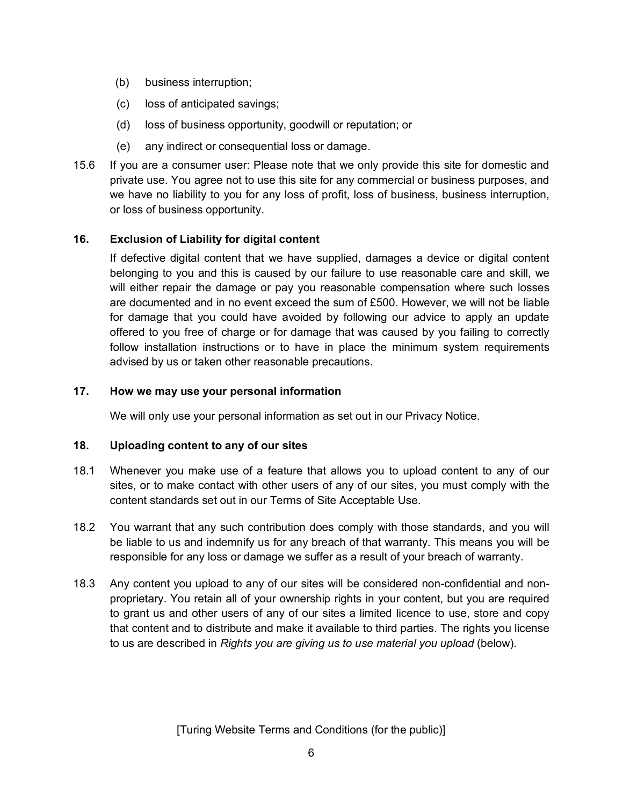- (b) business interruption;
- (c) loss of anticipated savings;
- (d) loss of business opportunity, goodwill or reputation; or
- (e) any indirect or consequential loss or damage.
- 15.6 If you are a consumer user: Please note that we only provide this site for domestic and private use. You agree not to use this site for any commercial or business purposes, and we have no liability to you for any loss of profit, loss of business, business interruption, or loss of business opportunity.

# **16. Exclusion of Liability for digital content**

If defective digital content that we have supplied, damages a device or digital content belonging to you and this is caused by our failure to use reasonable care and skill, we will either repair the damage or pay you reasonable compensation where such losses are documented and in no event exceed the sum of £500. However, we will not be liable for damage that you could have avoided by following our advice to apply an update offered to you free of charge or for damage that was caused by you failing to correctly follow installation instructions or to have in place the minimum system requirements advised by us or taken other reasonable precautions.

#### **17. How we may use your personal information**

We will only use your personal information as set out in our Privacy Notice.

#### **18. Uploading content to any of our sites**

- 18.1 Whenever you make use of a feature that allows you to upload content to any of our sites, or to make contact with other users of any of our sites, you must comply with the content standards set out in our Terms of Site Acceptable Use.
- 18.2 You warrant that any such contribution does comply with those standards, and you will be liable to us and indemnify us for any breach of that warranty. This means you will be responsible for any loss or damage we suffer as a result of your breach of warranty.
- 18.3 Any content you upload to any of our sites will be considered non-confidential and nonproprietary. You retain all of your ownership rights in your content, but you are required to grant us and other users of any of our sites a limited licence to use, store and copy that content and to distribute and make it available to third parties. The rights you license to us are described in *Rights you are giving us to use material you upload* (below).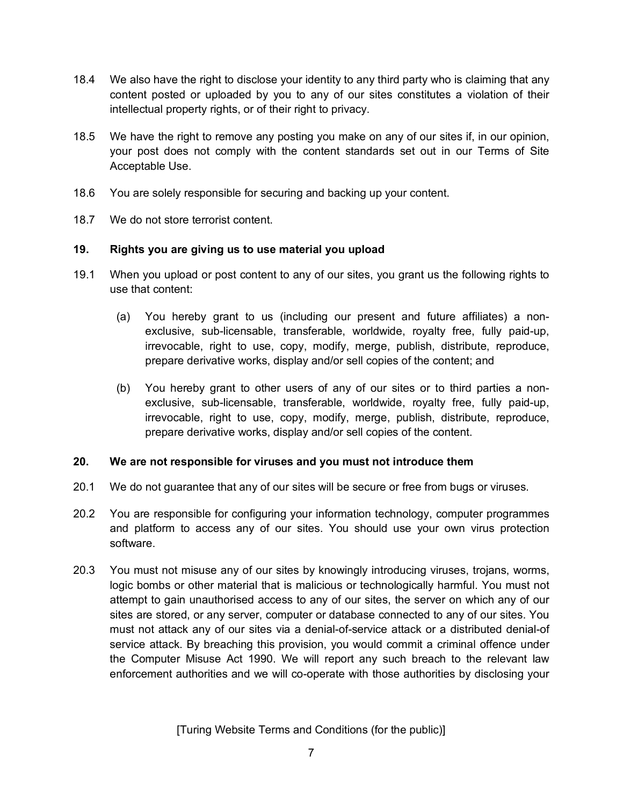- 18.4 We also have the right to disclose your identity to any third party who is claiming that any content posted or uploaded by you to any of our sites constitutes a violation of their intellectual property rights, or of their right to privacy.
- 18.5 We have the right to remove any posting you make on any of our sites if, in our opinion, your post does not comply with the content standards set out in our Terms of Site Acceptable Use.
- 18.6 You are solely responsible for securing and backing up your content.
- 18.7 We do not store terrorist content.

#### **19. Rights you are giving us to use material you upload**

- 19.1 When you upload or post content to any of our sites, you grant us the following rights to use that content:
	- (a) You hereby grant to us (including our present and future affiliates) a nonexclusive, sub-licensable, transferable, worldwide, royalty free, fully paid-up, irrevocable, right to use, copy, modify, merge, publish, distribute, reproduce, prepare derivative works, display and/or sell copies of the content; and
	- (b) You hereby grant to other users of any of our sites or to third parties a nonexclusive, sub-licensable, transferable, worldwide, royalty free, fully paid-up, irrevocable, right to use, copy, modify, merge, publish, distribute, reproduce, prepare derivative works, display and/or sell copies of the content.

#### **20. We are not responsible for viruses and you must not introduce them**

- 20.1 We do not guarantee that any of our sites will be secure or free from bugs or viruses.
- 20.2 You are responsible for configuring your information technology, computer programmes and platform to access any of our sites. You should use your own virus protection software.
- 20.3 You must not misuse any of our sites by knowingly introducing viruses, trojans, worms, logic bombs or other material that is malicious or technologically harmful. You must not attempt to gain unauthorised access to any of our sites, the server on which any of our sites are stored, or any server, computer or database connected to any of our sites. You must not attack any of our sites via a denial-of-service attack or a distributed denial-of service attack. By breaching this provision, you would commit a criminal offence under the Computer Misuse Act 1990. We will report any such breach to the relevant law enforcement authorities and we will co-operate with those authorities by disclosing your